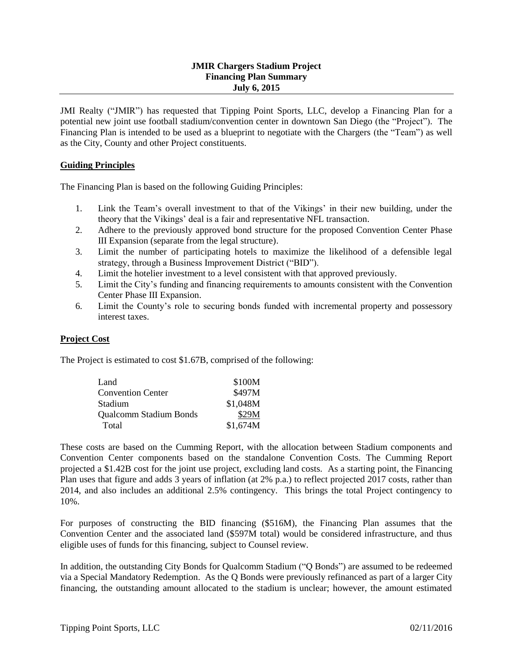### **JMIR Chargers Stadium Project Financing Plan Summary July 6, 2015**

JMI Realty ("JMIR") has requested that Tipping Point Sports, LLC, develop a Financing Plan for a potential new joint use football stadium/convention center in downtown San Diego (the "Project"). The Financing Plan is intended to be used as a blueprint to negotiate with the Chargers (the "Team") as well as the City, County and other Project constituents.

### **Guiding Principles**

The Financing Plan is based on the following Guiding Principles:

- 1. Link the Team's overall investment to that of the Vikings' in their new building, under the theory that the Vikings' deal is a fair and representative NFL transaction.
- 2. Adhere to the previously approved bond structure for the proposed Convention Center Phase III Expansion (separate from the legal structure).
- 3. Limit the number of participating hotels to maximize the likelihood of a defensible legal strategy, through a Business Improvement District ("BID").
- 4. Limit the hotelier investment to a level consistent with that approved previously.
- 5. Limit the City's funding and financing requirements to amounts consistent with the Convention Center Phase III Expansion.
- 6. Limit the County's role to securing bonds funded with incremental property and possessory interest taxes.

## **Project Cost**

The Project is estimated to cost \$1.67B, comprised of the following:

| Land                          | \$100M   |
|-------------------------------|----------|
| <b>Convention Center</b>      | \$497M   |
| Stadium                       | \$1,048M |
| <b>Qualcomm Stadium Bonds</b> | \$29M    |
| Total                         | \$1,674M |

These costs are based on the Cumming Report, with the allocation between Stadium components and Convention Center components based on the standalone Convention Costs. The Cumming Report projected a \$1.42B cost for the joint use project, excluding land costs. As a starting point, the Financing Plan uses that figure and adds 3 years of inflation (at 2% p.a.) to reflect projected 2017 costs, rather than 2014, and also includes an additional 2.5% contingency. This brings the total Project contingency to 10%.

For purposes of constructing the BID financing (\$516M), the Financing Plan assumes that the Convention Center and the associated land (\$597M total) would be considered infrastructure, and thus eligible uses of funds for this financing, subject to Counsel review.

In addition, the outstanding City Bonds for Qualcomm Stadium ("Q Bonds") are assumed to be redeemed via a Special Mandatory Redemption. As the Q Bonds were previously refinanced as part of a larger City financing, the outstanding amount allocated to the stadium is unclear; however, the amount estimated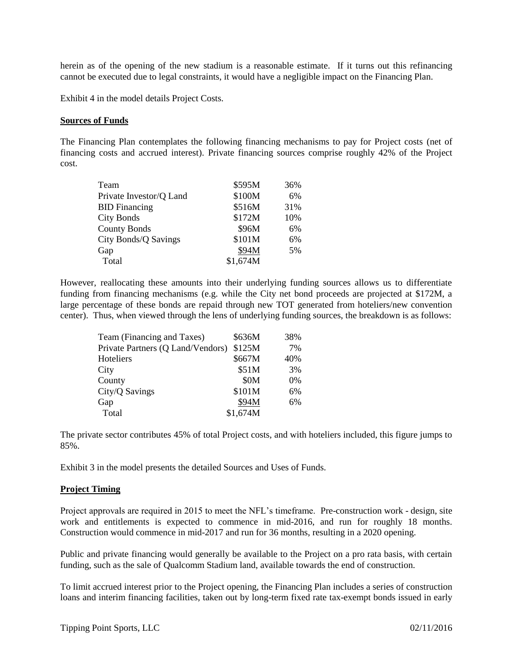herein as of the opening of the new stadium is a reasonable estimate. If it turns out this refinancing cannot be executed due to legal constraints, it would have a negligible impact on the Financing Plan.

Exhibit 4 in the model details Project Costs.

#### **Sources of Funds**

The Financing Plan contemplates the following financing mechanisms to pay for Project costs (net of financing costs and accrued interest). Private financing sources comprise roughly 42% of the Project cost.

| Team                    | \$595M   | 36% |
|-------------------------|----------|-----|
| Private Investor/Q Land | \$100M   | 6%  |
| <b>BID</b> Financing    | \$516M   | 31% |
| City Bonds              | \$172M   | 10% |
| <b>County Bonds</b>     | \$96M    | 6%  |
| City Bonds/Q Savings    | \$101M   | 6%  |
| Gap                     | \$94M    | 5%  |
| Total                   | \$1,674M |     |

However, reallocating these amounts into their underlying funding sources allows us to differentiate funding from financing mechanisms (e.g. while the City net bond proceeds are projected at \$172M, a large percentage of these bonds are repaid through new TOT generated from hoteliers/new convention center). Thus, when viewed through the lens of underlying funding sources, the breakdown is as follows:

| Team (Financing and Taxes)        | \$636M   | 38% |
|-----------------------------------|----------|-----|
| Private Partners (Q Land/Vendors) | \$125M   | 7%  |
| Hoteliers                         | \$667M   | 40% |
| City                              | \$51M    | 3%  |
| County                            | \$0M     | 0%  |
| City/Q Savings                    | \$101M   | 6%  |
| Gap                               | \$94M    | 6%  |
| Total                             | \$1,674M |     |

The private sector contributes 45% of total Project costs, and with hoteliers included, this figure jumps to 85%.

Exhibit 3 in the model presents the detailed Sources and Uses of Funds.

#### **Project Timing**

Project approvals are required in 2015 to meet the NFL's timeframe. Pre-construction work - design, site work and entitlements is expected to commence in mid-2016, and run for roughly 18 months. Construction would commence in mid-2017 and run for 36 months, resulting in a 2020 opening.

Public and private financing would generally be available to the Project on a pro rata basis, with certain funding, such as the sale of Qualcomm Stadium land, available towards the end of construction.

To limit accrued interest prior to the Project opening, the Financing Plan includes a series of construction loans and interim financing facilities, taken out by long-term fixed rate tax-exempt bonds issued in early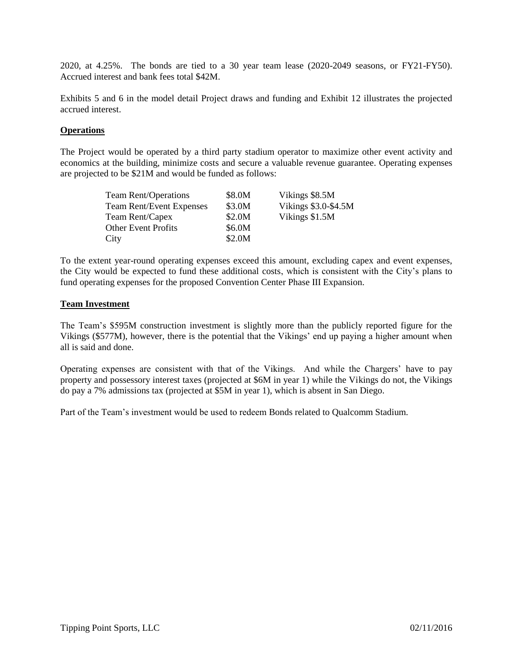2020, at 4.25%. The bonds are tied to a 30 year team lease (2020-2049 seasons, or FY21-FY50). Accrued interest and bank fees total \$42M.

Exhibits 5 and 6 in the model detail Project draws and funding and Exhibit 12 illustrates the projected accrued interest.

#### **Operations**

The Project would be operated by a third party stadium operator to maximize other event activity and economics at the building, minimize costs and secure a valuable revenue guarantee. Operating expenses are projected to be \$21M and would be funded as follows:

| <b>Team Rent/Operations</b>     | \$8.0M | Vikings \$8.5M       |
|---------------------------------|--------|----------------------|
| <b>Team Rent/Event Expenses</b> | \$3.0M | Vikings \$3.0-\$4.5M |
| Team Rent/Capex                 | \$2.0M | Vikings \$1.5M       |
| <b>Other Event Profits</b>      | \$6.0M |                      |
| City                            | \$2.0M |                      |

To the extent year-round operating expenses exceed this amount, excluding capex and event expenses, the City would be expected to fund these additional costs, which is consistent with the City's plans to fund operating expenses for the proposed Convention Center Phase III Expansion.

#### **Team Investment**

The Team's \$595M construction investment is slightly more than the publicly reported figure for the Vikings (\$577M), however, there is the potential that the Vikings' end up paying a higher amount when all is said and done.

Operating expenses are consistent with that of the Vikings. And while the Chargers' have to pay property and possessory interest taxes (projected at \$6M in year 1) while the Vikings do not, the Vikings do pay a 7% admissions tax (projected at \$5M in year 1), which is absent in San Diego.

Part of the Team's investment would be used to redeem Bonds related to Qualcomm Stadium.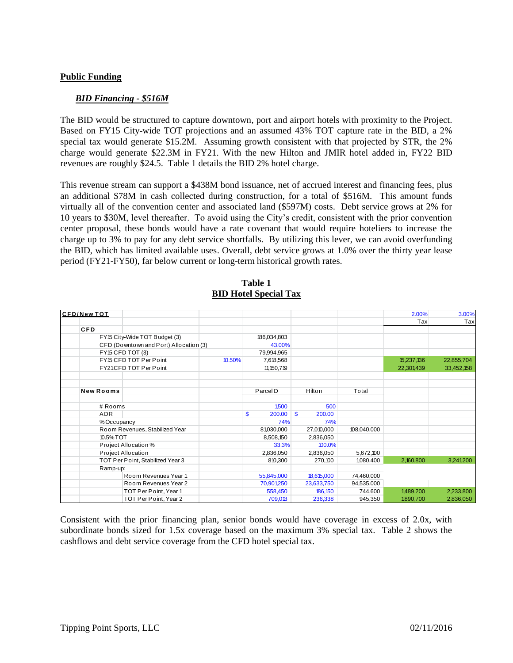### **Public Funding**

#### *BID Financing - \$516M*

The BID would be structured to capture downtown, port and airport hotels with proximity to the Project. Based on FY15 City-wide TOT projections and an assumed 43% TOT capture rate in the BID, a 2% special tax would generate \$15.2M. Assuming growth consistent with that projected by STR, the 2% charge would generate \$22.3M in FY21. With the new Hilton and JMIR hotel added in, FY22 BID revenues are roughly \$24.5. Table 1 details the BID 2% hotel charge.

This revenue stream can support a \$438M bond issuance, net of accrued interest and financing fees, plus an additional \$78M in cash collected during construction, for a total of \$516M. This amount funds virtually all of the convention center and associated land (\$597M) costs. Debt service grows at 2% for 10 years to \$30M, level thereafter. To avoid using the City's credit, consistent with the prior convention center proposal, these bonds would have a rate covenant that would require hoteliers to increase the charge up to 3% to pay for any debt service shortfalls. By utilizing this lever, we can avoid overfunding the BID, which has limited available uses. Overall, debt service grows at 1.0% over the thirty year lease period (FY21-FY50), far below current or long-term historical growth rates.

|                    |                                  |                                        |        | TUDIV T                      |                    |             |            |            |
|--------------------|----------------------------------|----------------------------------------|--------|------------------------------|--------------------|-------------|------------|------------|
|                    |                                  |                                        |        | <b>BID Hotel Special Tax</b> |                    |             |            |            |
| <b>CFD/New TOT</b> |                                  |                                        |        |                              |                    |             | 2.00%      | 3.00%      |
|                    |                                  |                                        |        |                              |                    |             | Tax        | Tax        |
| <b>CFD</b>         |                                  |                                        |        |                              |                    |             |            |            |
|                    |                                  | FY15 City-Wide TOT Budget (3)          |        | 186,034,803                  |                    |             |            |            |
|                    |                                  | CFD (Downtown and Port) Allocation (3) |        | 43.00%                       |                    |             |            |            |
|                    |                                  | FY15 CFD TOT (3)                       |        | 79,994,965                   |                    |             |            |            |
|                    |                                  | FY15 CFD TOT Per Point                 | 10.50% | 7,618,568                    |                    |             | 15,237,136 | 22,855,704 |
|                    |                                  | FY21CFD TOT Per Point                  |        | 11, 150, 719                 |                    |             | 22,301,439 | 33,452,158 |
|                    |                                  |                                        |        |                              |                    |             |            |            |
|                    | <b>New Rooms</b>                 |                                        |        | Parcel D                     | Hilton             | Total       |            |            |
|                    |                                  |                                        |        |                              |                    |             |            |            |
|                    | # Rooms                          |                                        |        | 1,500                        | 500                |             |            |            |
|                    | ADR                              |                                        |        | \$<br>200.00                 | <b>S</b><br>200.00 |             |            |            |
|                    | %Occupancy                       |                                        |        | 74%                          | 74%                |             |            |            |
|                    |                                  | Room Revenues, Stabilized Year         |        | 81,030,000                   | 27,010,000         | 108,040,000 |            |            |
|                    | 10.5% TOT                        |                                        |        | 8.508.150                    | 2,836,050          |             |            |            |
|                    |                                  | Project Allocation %                   |        | 33.3%                        | 100.0%             |             |            |            |
|                    |                                  | Project Allocation                     |        | 2,836,050                    | 2,836,050          | 5,672,100   |            |            |
|                    | TOT Per Point, Stabilized Year 3 |                                        |        | 810,300                      | 270,100            | 1,080,400   | 2.160.800  | 3.241.200  |
|                    | Ramp-up:                         |                                        |        |                              |                    |             |            |            |
|                    |                                  | Room Revenues Year 1                   |        | 55,845,000                   | 18,615,000         | 74,460,000  |            |            |
|                    |                                  | Room Revenues Year 2                   |        | 70,901,250                   | 23,633,750         | 94,535,000  |            |            |
|                    |                                  | TOT Per Point, Year 1                  |        | 558,450                      | 186,150            | 744,600     | 1,489,200  | 2,233,800  |
|                    |                                  | TOT Per Point, Year 2                  |        | 709,013                      | 236,338            | 945,350     | 1,890,700  | 2,836,050  |

**Table 1 BID Hotel Special Tax**

Consistent with the prior financing plan, senior bonds would have coverage in excess of 2.0x, with subordinate bonds sized for 1.5x coverage based on the maximum 3% special tax. Table 2 shows the cashflows and debt service coverage from the CFD hotel special tax.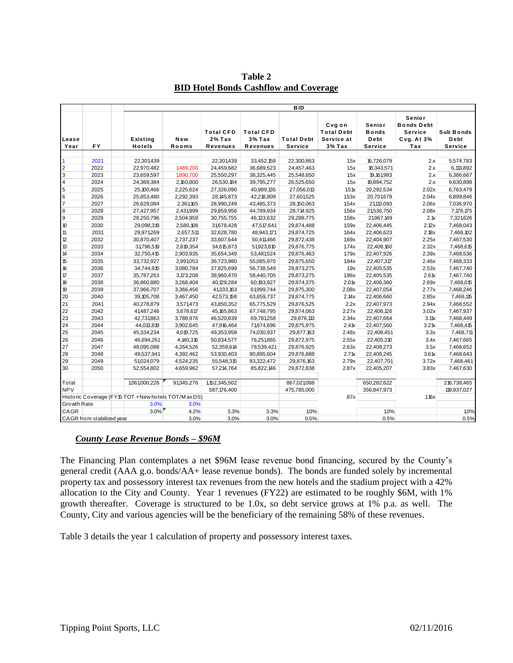| Lease<br>Year<br>$\overline{2}$<br>$\mathbf{3}$<br>$\overline{4}$<br>$\sqrt{5}$<br>$\,$ 6<br>$\overline{7}$<br>$\bf 8$<br>$9\,$<br>$10$<br>11<br>12 | <b>FY</b>                                             |                           |              |                                                 |                                                 |                                     |                                                       |                                           |                                                             |                                     |
|-----------------------------------------------------------------------------------------------------------------------------------------------------|-------------------------------------------------------|---------------------------|--------------|-------------------------------------------------|-------------------------------------------------|-------------------------------------|-------------------------------------------------------|-------------------------------------------|-------------------------------------------------------------|-------------------------------------|
|                                                                                                                                                     |                                                       | Existing<br><b>Hotels</b> | New<br>Rooms | <b>Total CFD</b><br>$2%$ Tax<br><b>Revenues</b> | <b>Total CFD</b><br>$3%$ Tax<br><b>Revenues</b> | <b>Total Debt</b><br><b>Service</b> | Cvg on<br><b>Total Debt</b><br>Service at<br>$3%$ Tax | Senior<br><b>Bonds</b><br>Debt<br>Service | Senior<br><b>Bonds Debt</b><br>Service<br>Cvg. At 3%<br>Tax | <b>Sub Bonds</b><br>Debt<br>Service |
|                                                                                                                                                     |                                                       |                           |              |                                                 |                                                 |                                     |                                                       |                                           |                                                             |                                     |
|                                                                                                                                                     | 2021                                                  | 22,301,439                |              | 22,301,439                                      | 33,452,158                                      | 22,300,863                          | 1.5x                                                  | 16,726,079                                | 2.x                                                         | 5,574,783                           |
|                                                                                                                                                     | 2022                                                  | 22,970,482                | 1,489,200    | 24,459,682                                      | 36,689,523                                      | 24,457,463                          | 1.5x                                                  | 18,343,571                                | 2.x                                                         | 6,113,892                           |
|                                                                                                                                                     | 2023                                                  | 23,659,597                | 1,890,700    | 25,550,297                                      | 38,325,445                                      | 25,548,650                          | 1.5x                                                  | 19, 161, 983                              | 2.x                                                         | 6,386,667                           |
|                                                                                                                                                     | 2024                                                  | 24,369,384                | 2,160,800    | 26,530,184                                      | 39,795,277                                      | 26,525,650                          | 1.5x                                                  | 19,894,752                                | 2.x                                                         | 6,630,898                           |
|                                                                                                                                                     | 2025                                                  | 25,100,466                | 2,225,624    | 27,326,090                                      | 40,989,135                                      | 27,056,013                          | 1.5 <sub>1</sub>                                      | 20,292,534                                | 2.02x                                                       | 6,763,479                           |
|                                                                                                                                                     | 2026                                                  | 25,853,480                | 2,292,393    | 28, 145, 873                                    | 42,218,809                                      | 27,601,525                          | 1.53x                                                 | 20,701,679                                | 2.04x                                                       | 6,899,846                           |
|                                                                                                                                                     | 2027                                                  | 26,629,084                | 2,361,165    | 28,990,249                                      | 43,485,373                                      | 28,150,063                          | 1.54x                                                 | 21,113,093                                | 2.06x                                                       | 7,036,970                           |
|                                                                                                                                                     | 2028                                                  | 27,427,957                | 2,431,999    | 29,859,956                                      | 44,789,934                                      | 28,714,925                          | 1.56x                                                 | 21,536,750                                | 2.08x                                                       | 7,178,175                           |
|                                                                                                                                                     | 2029                                                  | 28,250,796                | 2,504,959    | 30,755,755                                      | 46, 133, 632                                    | 29,288,775                          | 1.58x                                                 | 21,967,149                                | 2.1x                                                        | 7,321,626                           |
|                                                                                                                                                     | 2030                                                  | 29,098,319                | 2,580,108    | 31,678,428                                      | 47,517,641                                      | 29,874,488                          | 1.59x                                                 | 22,406,445                                | 2.12x                                                       | 7,468,043                           |
|                                                                                                                                                     | 2031                                                  | 29,971,269                | 2,657,511    | 32,628,780                                      | 48,943,171                                      | 29,874,725                          | 1.64x                                                 | 22,406,623                                | 2.18x                                                       | 7,468,102                           |
|                                                                                                                                                     | 2032                                                  | 30,870,407                | 2,737,237    | 33,607,644                                      | 50,411,466                                      | 29,872,438                          | 1.69x                                                 | 22,404,907                                | 2.25x                                                       | 7,467,530                           |
| 13                                                                                                                                                  | 2033                                                  | 31,796,519                | 2,819,354    | 34,615,873                                      | 51,923,810                                      | 29,876,775                          | 1.74x                                                 | 22,408,160                                | 2.32x                                                       | 7,468,615                           |
| 14                                                                                                                                                  | 2034                                                  | 32,750,415                | 2,903,935    | 35,654,349                                      | 53,481,524                                      | 29,876,463                          | 1.79x                                                 | 22,407,926                                | 2.39x                                                       | 7,468,536                           |
| 15                                                                                                                                                  | 2035                                                  | 33,732,927                | 2,991,053    | 36,723,980                                      | 55,085,970                                      | 29,875,650                          | 1.84x                                                 | 22,407,317                                | 2.46x                                                       | 7,468,333                           |
| 16                                                                                                                                                  | 2036                                                  | 34,744,915                | 3,080,784    | 37,825,699                                      | 56,738,549                                      | 29,873,275                          | 19x                                                   | 22,405,535                                | 2.53x                                                       | 7,467,740                           |
| $\boldsymbol{\tau}$                                                                                                                                 | 2037                                                  | 35,787,263                | 3, 173, 208  | 38,960,470                                      | 58,440,705                                      | 29,873,275                          | 1.96x                                                 | 22,405,535                                | 2.6 <sub>1</sub>                                            | 7,467,740                           |
| $18$                                                                                                                                                | 2038                                                  | 36,860,880                | 3,268,404    | 40,129,284                                      | 60,193,927                                      | 29,874,375                          | 2.0 <sub>1</sub>                                      | 22,406,360                                | 2.69x                                                       | 7,468,015                           |
| 19                                                                                                                                                  | 2039                                                  | 37,966,707                | 3,366,456    | 41,333,163                                      | 61,999,744                                      | 29,875,300                          | 2.08x                                                 | 22,407,054                                | 2.77x                                                       | 7,468,246                           |
| 20                                                                                                                                                  | 2040                                                  | 39, 105, 708              | 3,467,450    | 42,573,158                                      | 63,859,737                                      | 29,874,775                          | 2.14x                                                 | 22,406,660                                | 2.85x                                                       | 7,468,115                           |
| 21                                                                                                                                                  | 2041                                                  | 40,278,879                | 3,571,473    | 43,850,352                                      | 65,775,529                                      | 29,876,525                          | 2.2x                                                  | 22,407,973                                | 2.94x                                                       | 7,468,552                           |
| 22                                                                                                                                                  | 2042                                                  | 41,487,246                | 3,678,617    | 45, 165, 863                                    | 67,748,795                                      | 29,874,063                          | 2.27x                                                 | 22,406,126                                | 3.02x                                                       | 7,467,937                           |
| 23                                                                                                                                                  | 2043                                                  | 42,731,863                | 3,788,976    | 46,520,839                                      | 69,781,258                                      | 29,876,113                          | 2.34x                                                 | 22,407,664                                | 3.11x                                                       | 7,468,449                           |
| 24                                                                                                                                                  | 2044                                                  | 44,013,819                | 3,902,645    | 47,916,464                                      | 71,874,696                                      | 29,875,975                          | 2.4 <sub>tx</sub>                                     | 22,407,560                                | 3.2 <sub>tx</sub>                                           | 7,468,415                           |
| 25                                                                                                                                                  | 2045                                                  | 45,334,234                | 4,019,725    | 49,353,958                                      | 74,030,937                                      | 29,877,163                          | 2.48x                                                 | 22,408,451                                | 3.3x                                                        | 7,468,711                           |
| 26                                                                                                                                                  | 2046                                                  | 46,694,261                | 4,140,316    | 50,834,577                                      | 76,251,865                                      | 29,872,975                          | 2.55x                                                 | 22,405,310                                | 3.4x                                                        | 7,467,665                           |
| 27                                                                                                                                                  | 2047                                                  | 48,095,088                | 4,264,526    | 52,359,614                                      | 78,539,421                                      | 29,876,925                          | 2.63x                                                 | 22,408,273                                | 3.5x                                                        | 7,468,652                           |
| 28                                                                                                                                                  | 2048                                                  | 49,537,941                | 4,392,462    | 53,930,403                                      | 80,895,604                                      | 29,876,888                          | 2.7 <sub>tx</sub>                                     | 22,408,245                                | 3.6 <sub>tx</sub>                                           | 7,468,643                           |
| 29                                                                                                                                                  | 2049                                                  | 51,024,079                | 4,524,235    | 55,548,315                                      | 83,322,472                                      | 29,876,163                          | 2.79x                                                 | 22,407,701                                | 3.72x                                                       | 7,468,461                           |
| 30                                                                                                                                                  | 2050                                                  | 52,554,802                | 4,659,962    | 57,214,764                                      | 85,822,146                                      | 29,872,838                          | 2.87x                                                 | 22,405,207                                | 3.83x                                                       | 7,467,630                           |
| Total                                                                                                                                               |                                                       | 1,061,000,226             | 91,345,276   | 1,152,345,502                                   |                                                 | 867,021,088                         |                                                       | 650,282,622                               |                                                             | 216,738,465                         |
| <b>NPV</b>                                                                                                                                          |                                                       |                           |              | 587, 176, 400                                   |                                                 | 475,785,000                         |                                                       | 356,847,973                               |                                                             | 118,937,027                         |
|                                                                                                                                                     |                                                       |                           |              |                                                 |                                                 |                                     | .87x                                                  |                                           | 1.16x                                                       |                                     |
| Growth Rate                                                                                                                                         |                                                       |                           |              |                                                 |                                                 |                                     |                                                       |                                           |                                                             |                                     |
| CAGR                                                                                                                                                | Historic Coverage (FY15 TOT + New hotels TOT/M ax DS) |                           |              |                                                 |                                                 |                                     |                                                       |                                           |                                                             |                                     |
| CAGR from stabilized year                                                                                                                           |                                                       | 3.0%<br>$3.0\%$           | 3.0%<br>4.2% | 3.3%                                            | 3.3%                                            | 1.0%                                |                                                       | 1.0%                                      |                                                             | 1.0%                                |

**Table 2 BID Hotel Bonds Cashflow and Coverage**

## *County Lease Revenue Bonds – \$96M*

The Financing Plan contemplates a net \$96M lease revenue bond financing, secured by the County's general credit (AAA g.o. bonds/AA+ lease revenue bonds). The bonds are funded solely by incremental property tax and possessory interest tax revenues from the new hotels and the stadium project with a 42% allocation to the City and County. Year 1 revenues (FY22) are estimated to be roughly \$6M, with 1% growth thereafter. Coverage is structured to be 1.0x, so debt service grows at 1% p.a. as well. The County, City and various agencies will be the beneficiary of the remaining 58% of these revenues.

Table 3 details the year 1 calculation of property and possessory interest taxes.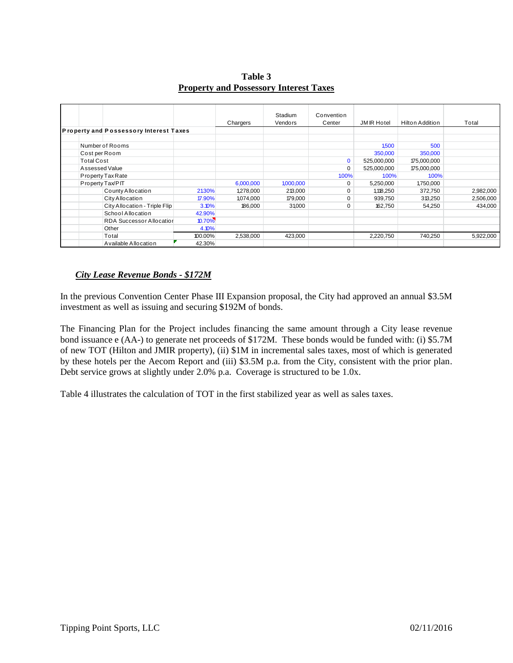**Table 3 Property and Possessory Interest Taxes**

|                   |                                               |         | Chargers  | Stadium<br><b>Vendors</b> | Convention<br>Center | <b>JMIR Hotel</b> | Hilton Addition | Total     |
|-------------------|-----------------------------------------------|---------|-----------|---------------------------|----------------------|-------------------|-----------------|-----------|
|                   | <b>Property and Possessory Interest Taxes</b> |         |           |                           |                      |                   |                 |           |
| Number of Rooms   |                                               |         |           |                           |                      | 1,500             | 500             |           |
| Cost per Room     |                                               |         |           |                           |                      | 350,000           | 350,000         |           |
| <b>Total Cost</b> |                                               |         |           |                           | $\Omega$             | 525,000,000       | 175,000,000     |           |
| Assessed Value    |                                               |         |           |                           | $\Omega$             | 525,000,000       | 175,000,000     |           |
| Property Tax Rate |                                               |         |           |                           | 1.00%                | 100%              | 1.00%           |           |
| Property Tax/PIT  |                                               |         | 6,000,000 | 1,000,000                 | 0                    | 5,250,000         | 1,750,000       |           |
|                   | County Allocation                             | 21.30%  | 1,278,000 | 213,000                   | 0                    | 1,118,250         | 372,750         | 2,982,000 |
|                   | City Allocation                               | 17.90%  | 1,074,000 | 179,000                   |                      | 939,750           | 313,250         | 2,506,000 |
|                   | City Allocation - Triple Flip                 | 3.10%   | 186,000   | 31,000                    | 0                    | 162,750           | 54,250          | 434,000   |
|                   | School Allocation                             | 42.90%  |           |                           |                      |                   |                 |           |
|                   | <b>RDA Successor Allocation</b>               | 10.70%  |           |                           |                      |                   |                 |           |
|                   | Other                                         | 4.10%   |           |                           |                      |                   |                 |           |
|                   | Total                                         | 100.00% | 2,538,000 | 423,000                   |                      | 2,220,750         | 740,250         | 5,922,000 |
|                   | Available Allocation                          | 42.30%  |           |                           |                      |                   |                 |           |

### *City Lease Revenue Bonds - \$172M*

In the previous Convention Center Phase III Expansion proposal, the City had approved an annual \$3.5M investment as well as issuing and securing \$192M of bonds.

The Financing Plan for the Project includes financing the same amount through a City lease revenue bond issuance e (AA-) to generate net proceeds of \$172M. These bonds would be funded with: (i) \$5.7M of new TOT (Hilton and JMIR property), (ii) \$1M in incremental sales taxes, most of which is generated by these hotels per the Aecom Report and (iii) \$3.5M p.a. from the City, consistent with the prior plan. Debt service grows at slightly under 2.0% p.a. Coverage is structured to be 1.0x.

Table 4 illustrates the calculation of TOT in the first stabilized year as well as sales taxes.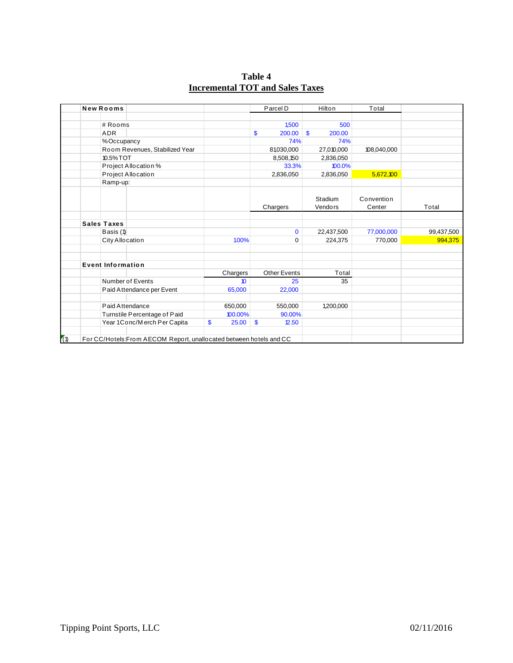**Table 4**

| <b>New Rooms</b>   |                                |             | Parcel D               | Hilton                  | Total       |            |
|--------------------|--------------------------------|-------------|------------------------|-------------------------|-------------|------------|
|                    |                                |             |                        |                         |             |            |
|                    | # Rooms                        |             | 1.500                  | 500                     |             |            |
|                    | <b>ADR</b>                     |             | \$<br>200.00           | $\mathbf{\$}$<br>200.00 |             |            |
|                    | %Occupancy                     |             | 74%                    | 74%                     |             |            |
|                    | Room Revenues, Stabilized Year |             | 81,030,000             | 27,010,000              | 108,040,000 |            |
|                    | 10.5% TOT                      |             | 8,508,150              | 2,836,050               |             |            |
|                    | Project Allocation %           |             | 33.3%                  | 100.0%                  |             |            |
|                    | Project Allocation             |             | 2,836,050              | 2,836,050               | 5,672,100   |            |
|                    | Ramp-up:                       |             |                        |                         |             |            |
|                    |                                |             |                        |                         |             |            |
|                    |                                |             |                        | Stadium                 | Convention  |            |
|                    |                                |             | Chargers               | Vendors                 | Center      | Total      |
|                    |                                |             |                        |                         |             |            |
| <b>Sales Taxes</b> |                                |             |                        |                         |             |            |
|                    | Basis (1)                      |             | $\mathbf{0}$           | 22,437,500              | 77,000,000  | 99,437,500 |
|                    | City Allocation                | 1.00%       | $\Omega$               | 224,375                 | 770,000     | 994,375    |
|                    |                                |             |                        |                         |             |            |
|                    | <b>Event Information</b>       |             |                        |                         |             |            |
|                    |                                | Chargers    | <b>Other Events</b>    | Total                   |             |            |
|                    | Number of Events               | 10          | 25                     | 35                      |             |            |
|                    | Paid Attendance per Event      | 65,000      | 22,000                 |                         |             |            |
|                    | Paid Attendance                | 650,000     | 550,000                | 1,200,000               |             |            |
|                    | Turnstile Percentage of Paid   | 100.00%     | 90.00%                 |                         |             |            |
|                    | Year 1Conc/Merch Per Capita    | 25.00<br>\$ | $\mathbf{\$}$<br>12.50 |                         |             |            |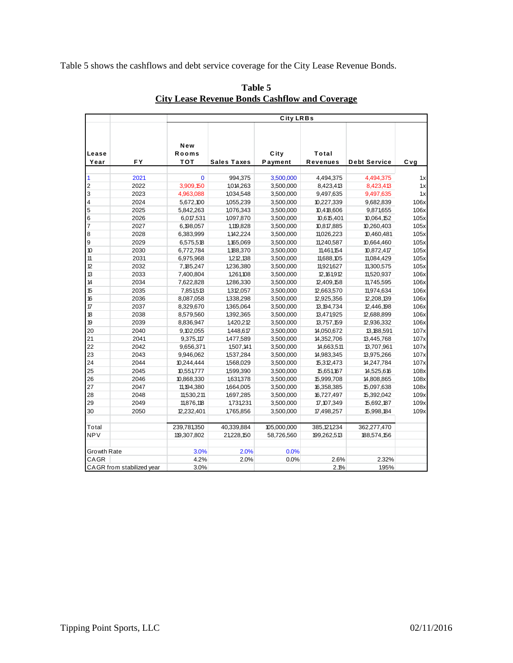Table 5 shows the cashflows and debt service coverage for the City Lease Revenue Bonds.

|                         |                           |                            |                    | City LRBs       |                          |                     |       |
|-------------------------|---------------------------|----------------------------|--------------------|-----------------|--------------------------|---------------------|-------|
| Lease<br>Year           | <b>FY</b>                 | New<br>Rooms<br><b>TOT</b> | <b>Sales Taxes</b> | City<br>Payment | Total<br><b>Revenues</b> | <b>Debt Service</b> | Cvg   |
|                         |                           |                            |                    |                 |                          |                     |       |
| 1                       | 2021                      | $\Omega$                   | 994,375            | 3,500,000       | 4,494,375                | 4,494,375           | 1x    |
| $\overline{\mathbf{c}}$ | 2022                      | 3,909,150                  | 1,014,263          | 3,500,000       | 8,423,413                | 8,423,413           | 1x    |
| 3                       | 2023                      | 4,963,088                  | 1,034,548          | 3,500,000       | 9,497,635                | 9,497,635           | 1x    |
| 4                       | 2024                      | 5,672,100                  | 1,055,239          | 3,500,000       | 10,227,339               | 9,682,839           | 1.06x |
| 5                       | 2025                      | 5,842,263                  | 1,076,343          | 3,500,000       | 10,418,606               | 9,871,655           | 1.06x |
| 6                       | 2026                      | 6,017,531                  | 1,097,870          | 3,500,000       | 10,615,401               | 10,064,152          | 1.05x |
| $\overline{7}$          | 2027                      | 6,198,057                  | 1,119,828          | 3,500,000       | 10,817,885               | 10,260,403          | 1.05x |
| 8                       | 2028                      | 6,383,999                  | 1,142,224          | 3,500,000       | 11,026,223               | 10,460,481          | 1.05x |
| 9                       | 2029                      | 6,575,518                  | 1,165,069          | 3,500,000       | 11,240,587               | 10,664,460          | 1.05x |
| 10                      | 2030                      | 6,772,784                  | 1,188,370          | 3,500,000       | 11,461,154               | 10,872,417          | 1.05x |
| 11                      | 2031                      | 6,975,968                  | 1,212,138          | 3,500,000       | 11,688,105               | 11,084,429          | 1.05x |
| 12                      | 2032                      | 7,185,247                  | 1,236,380          | 3,500,000       | 11,921,627               | 11,300,575          | 1.05x |
| 13                      | 2033                      | 7,400,804                  | 1,261,108          | 3,500,000       | 12, 161, 912             | 11,520,937          | 106x  |
| 14                      | 2034                      | 7,622,828                  | 1,286,330          | 3,500,000       | 12,409,158               | 11,745,595          | 1.06x |
| 15                      | 2035                      | 7,851,513                  | 1,312,057          | 3,500,000       | 12,663,570               | 11,974,634          | 1.06x |
| 16                      | 2036                      | 8,087,058                  | 1,338,298          | 3,500,000       | 12,925,356               | 12,208,139          | 1.06x |
| $\mathcal T$            | 2037                      | 8,329,670                  | 1,365,064          | 3,500,000       | 13, 194, 734             | 12,446,198          | 1.06x |
| 18                      | 2038                      | 8,579,560                  | 1,392,365          | 3,500,000       | 13,471,925               | 12,688,899          | 106x  |
| 19                      | 2039                      | 8,836,947                  | 1,420,212          | 3,500,000       | 13,757,159               | 12,936,332          | 1.06x |
| 20                      | 2040                      | 9,102,055                  | 1,448,617          | 3,500,000       | 14,050,672               | 13, 188, 591        | 107x  |
| 21                      | 2041                      | 9,375,117                  | 1,477,589          | 3,500,000       | 14,352,706               | 13,445,768          | 107x  |
| 22                      | 2042                      | 9,656,371                  | 1,507,141          | 3,500,000       | 14,663,511               | 13,707,961          | 107x  |
| 23                      | 2043                      | 9,946,062                  | 1,537,284          | 3,500,000       | 14,983,345               | 13,975,266          | 107x  |
| 24                      | 2044                      | 10,244,444                 | 1,568,029          | 3,500,000       | 15,312,473               | 14,247,784          | 1.07x |
| 25                      | 2045                      | 10,551,777                 | 1,599,390          | 3,500,000       | 15,651,167               | 14,525,616          | 108x  |
| 26                      | 2046                      | 10,868,330                 | 1,631,378          | 3,500,000       | 15,999,708               | 14,808,865          | 108x  |
| 27                      | 2047                      | 11, 194, 380               | 1,664,005          | 3,500,000       | 16,358,385               | 15,097,638          | 108x  |
| 28                      | 2048                      | 11,530,211                 | 1,697,285          | 3,500,000       | 16,727,497               | 15,392,042          | 109x  |
| 29                      | 2049                      | 11,876,118                 | 1,731,231          | 3,500,000       | 17,107,349               | 15,692,187          | 1.09x |
| 30                      | 2050                      | 12,232,401                 | 1,765,856          | 3,500,000       | 17,498,257               | 15,998,184          | 1.09x |
| Total                   |                           | 239,781,350                | 40,339,884         | 105,000,000     | 385,121,234              | 362,277,470         |       |
| <b>NPV</b>              |                           | 119,307,802                | 21,228,150         | 58,726,560      | 199,262,513              | 188,574,156         |       |
| Growth Rate             |                           | 3.0%                       | 2.0%               | 0.0%            |                          |                     |       |
| CAGR                    |                           | 4.2%                       | 2.0%               | 0.0%            | 2.6%                     | 2.32%               |       |
|                         | CAGR from stabilized year | 3.0%                       |                    |                 | 2.1%                     | 1.95%               |       |

Table 5 **City Lease Revenue Bonds Cashflow and Coverage**